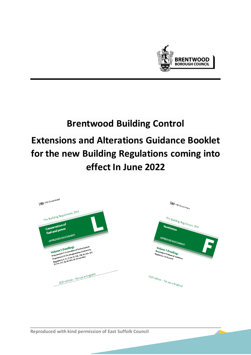

# **Brentwood Building Control Extensions and Alterations Guidance Booklet for the new Building Regulations coming into effect In June 2022**

| HM Government                                                                                                                                                                                                                                                                                                                         | <b>All HM Government</b>                                                                                                                                           |
|---------------------------------------------------------------------------------------------------------------------------------------------------------------------------------------------------------------------------------------------------------------------------------------------------------------------------------------|--------------------------------------------------------------------------------------------------------------------------------------------------------------------|
| The Building Regulations 2010<br><b>Conservation of</b><br>fuel and power<br>APPROVED DOCUMENT<br>Requirement Lt: Conservation of fuel and power<br>Volume 1: Dwellings<br>Requirement 12: On site generation of electricity<br>Regulations: 6, 22, 23, 24, 25, 25A, 25B, 26, 26A, 26C,<br>27, 27A, 27C, 28, 40, 40A, 43, 44 and 44ZA | The Building Regulations 2010<br>Ventilation<br>APPROVED DOCUMENT<br>S<br>Volume 1: Dwellings<br>Requirement F: Means of ventilation<br>Regulations: 39, 42 and 44 |
| 2021 edition - for use in England                                                                                                                                                                                                                                                                                                     | 2021 edition - for use in England                                                                                                                                  |

**Reproduced with kind permission of East Suffolk Council**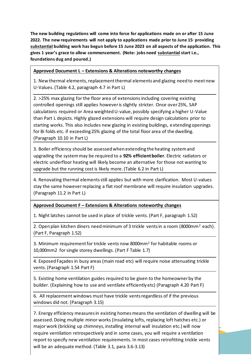**The new building regulations will come into force for applications made on or after 15 June 2022. The new requirements will not apply to applications made prior to June 15, providing substantial building work has begun before 15 June 2023 on all aspects of the application. This gives 1 year's grace to allow commencement. (Note: jobs need substantial start i.e., foundations dug and poured.)** 

#### **Approved Document L – Extensions & Alterations noteworthy changes**

1. New thermal elements, replacement thermal elements and glazing need to meet new U-Values.(Table 4.2, paragraph 4.7 in Part L)

2. >25% max glazing for the floor area of extensionsincluding covering existing controlled openings still applies however is slightly stricter. Once over 25%, SAP calculations required or Area weighted U-value, possibly specifying a higher U-Value than Part L depicts. Highly glazed extensions will require design calculations prior to starting works. This also includes new glazing in existing buildings, extending openings for Bi folds etc. if exceeding 25% glazing of the total floor area of the dwelling. (Paragraph 10.10 in Part L)

3. Boiler efficiency should be assessed when extending the heating system and upgrading the system may be required to a **92% efficient boiler**. Electric radiators or electric underfloor heating will likely become an alternative for those not wanting to upgrade but the running cost is likely more. (Table 6.2 in Part L)

4. Renovating thermal elements still applies but with more clarification. Most U-values stay the same howeverreplacing a flat roof membrane will require insulation upgrades. (Paragraph 11.2 in Part L)

#### **Approved Document F – Extensions & Alterations noteworthy changes**

1. Night latches cannot be used in place of trickle vents. (Part F, paragraph 1.52)

2. Open plan kitchen diners need minimum of 3 trickle vents in a room (8000mm<sup>2</sup> each). (Part F, Paragraph 1.52)

3. Minimum requirement for trickle vents now 8000mm<sup>2</sup> for habitable rooms or 10,000mm2 for single storey dwellings. (Part F Table 1.7)

4. Exposed Façades in busy areas (main road etc) will require noise attenuating trickle vents. (Paragraph 1.54 Part F)

5. Existing home ventilation guides required to be given to the homeowner by the builder. (Explaining how to use and ventilate efficiently etc) (Paragraph 4.20 Part F)

6. All replacement windows must have trickle vents regardless of if the previous windows did not. (Paragraph 3.15)

require ventilation retrospectively and in some cases, you will require a ventilation 7. Energy efficiency measures in existing homes means the ventilation of dwelling will be assessed. Doing multiple minor works (Insulating lofts, replacing loft hatches etc.) or major work (bricking up chimneys, installing internal wall insulation etc.) will now report to specify new ventilation requirements. In most cases retrofitting trickle vents will be an adequate method. (Table 3.1, para 3.6-3.13)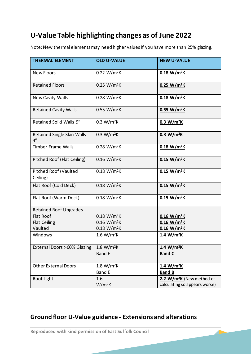## **U-Value Table highlighting changes as of June 2022**

Note:New thermal elements may need higher values if you have more than 25% glazing.

| <b>THERMAL ELEMENT</b>                   | <b>OLD U-VALUE</b>      | <b>NEW U-VALUE</b>                    |
|------------------------------------------|-------------------------|---------------------------------------|
| <b>New Floors</b>                        | $0.22 W/m^2K$           | $0.18 W/m^2K$                         |
| <b>Retained Floors</b>                   | 0.25 W/m <sup>2</sup> K | $0.25 W/m^2K$                         |
| <b>New Cavity Walls</b>                  | 0.28 W/m <sup>2</sup> K | $0.18 W/m^2K$                         |
| <b>Retained Cavity Walls</b>             | 0.55 W/m <sup>2</sup> K | 0.55 W/m <sup>2</sup> K               |
| Retained Solid Walls 9"                  | 0.3 W/m <sup>2</sup> K  | 0.3 W/m <sup>2</sup> K                |
| <b>Retained Single Skin Walls</b><br>4"  | 0.3 W/m <sup>2</sup> K  | 0.3 W/m <sup>2</sup> K                |
| <b>Timber Frame Walls</b>                | 0.28 W/m <sup>2</sup> K | $0.18 W/m^2K$                         |
| Pitched Roof (Flat Ceiling)              | $0.16 W/m^2K$           | 0.15 W/m <sup>2</sup> K               |
| <b>Pitched Roof (Vaulted</b><br>Ceiling) | $0.18 W/m^2K$           | $0.15 W/m^2K$                         |
| Flat Roof (Cold Deck)                    | $0.18 W/m^2K$           | $0.15 W/m^2K$                         |
| Flat Roof (Warm Deck)                    | $0.18 W/m^2K$           | $0.15 W/m^2K$                         |
| <b>Retained Roof Upgrades</b>            |                         |                                       |
| Flat Roof                                | $0.18 W/m^2K$           | $0.16 W/m^2K$                         |
| <b>Flat Ceiling</b>                      | $0.16 W/m^2K$           | $0.16 W/m^2K$                         |
| Vaulted                                  | $0.18 W/m^2K$           | $0.16 W/m^2K$                         |
| Windows                                  | 1.6 W/m <sup>2</sup> K  | 1.4 W/m <sup>2</sup> K                |
| External Doors >60% Glazing              | 1.8 W/m <sup>2</sup> K  | 1.4 W/m <sup>2</sup> K                |
|                                          | <b>Band E</b>           | <b>Band C</b>                         |
| <b>Other External Doors</b>              | 1.8 W/m <sup>2</sup> K  | 1.4 W/m <sup>2</sup> K                |
|                                          | <b>Band E</b>           | <b>Band B</b>                         |
| Roof Light                               | 1.6                     | 2.2 W/m <sup>2</sup> K (New method of |
|                                          | $W/m^2K$                | calculating so appears worse)         |

## **Ground floor U-Value guidance - Extensions and alterations**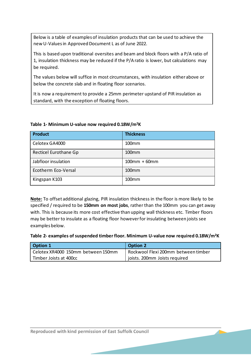Below is a table of examples of insulation products that can be used to achieve the new U-Values in Approved Document L as of June 2022.

This is based upon traditional oversites and beam and block floors with a P/A ratio of 1, insulation thickness may be reduced if the P/A ratio is lower, but calculations may be required.

The values below will suffice in most circumstances, with insulation either above or below the concrete slab and in floating floor scenarios.

It is now a requirement to provide a 25mm perimeter upstand of PIR insulation as standard, with the exception of floating floors.

| <b>Product</b>        | <b>Thickness</b>  |
|-----------------------|-------------------|
| Celotex GA4000        | 100mm             |
| Recticel Eurothane Gp | 100 <sub>mm</sub> |
| Jabfloor insulation   | $100mm + 60mm$    |
| Ecotherm Eco-Versal   | 100 <sub>mm</sub> |
| Kingspan K103         | 100 <sub>mm</sub> |

#### **Table 1- Minimum U-value now required 0.18W/m<sup>2</sup>K**

**Note:** To offset additional glazing, PIR insulation thickness in the floor is more likely to be specified / required to be **150mm on most jobs**, rather than the 100mm you can get away with. This is because its more cost effective than upping wall thickness etc. Timber floors may be better to insulate as a floating floor however for insulating between joists see examples below.

**Table 2- examples of suspended timber floor. Minimum U-value now required 0.18W/m<sup>2</sup>K** 

| <b>Option 1</b>                    | <b>Option 2</b>                     |
|------------------------------------|-------------------------------------|
| Celotex XR4000 150mm between 150mm | Rockwool Flexi 200mm between timber |
| Timber Joists at 400cc             | joists. 200mm Joists required       |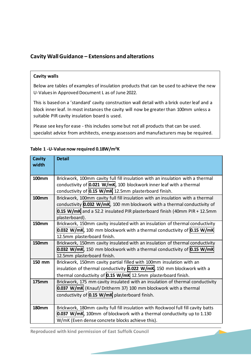#### **Cavity Wall Guidance – Extensions and alterations**

#### **Cavity walls**

Below are tables of examples of insulation products that can be used to achieve the new U-Values in Approved Document L as of June 2022.

This is based on a 'standard' cavity construction wall detail with a brick outer leaf and a block inner leaf. In most instances the cavity will now be greater than 100mm unless a suitable PIR cavity insulation board is used.

Please see key for ease - this includes some but not all products that can be used. specialist advice from architects, energy assessors and manufacturers may be required.

#### **Cavity width Detail 100mm** Brickwork, 100mm cavity full fill insulation with an insulation with a thermal conductivity of **0.021 W/mK**, 100 blockwork inner leaf with a thermal conductivity of **0.15 W/mK** 12.5mm plasterboard finish. **100mm** | Brickwork, 100mm cavity full fill insulation with an insulation with a thermal conductivity **0.032 W/mK**, 100 mm blockwork with a thermal conductivity of **0.15 W/mK** and a 52.2 insulated PIR plasterboard finish (40mm PIR + 12.5mm plasterboard). **150mm Brickwork, 150mm cavity insulated with an insulation of thermal conductivity 0.032 W/mK**, 100 mm blockwork with a thermal conductivity of **0.15 W/mK** 12.5mm plasterboard finish. **150mm** Brickwork, 150mm cavity insulated with an insulation of thermal conductivity **0.032 W/mK**, 150 mm blockwork with a thermal conductivity of **0.15 W/mK** 12.5mm plasterboard finish. **150 mm** | Brickwork, 150mm cavity partial filled with 100mm insulation with an insulation of thermal conductivity **0.022 W/mK**, 150 mm blockwork with a thermal conductivity of **0.15 W/mK** 12.5mm plasterboard finish. **175mm** Brickwork, 175 mm cavity insulated with an insulation of thermal conductivity **0.037 W/mK** (Knauf/ Dritherm 37) 100 mm blockwork with a thermal conductivity of **0.15 W/mK** plasterboard finish. **180mm** | Brickwork, 180mm cavity full fill insulation with Rockwool full fill cavity batts **0.037 W/mK**, 100mm of blockwork with a thermal conductivity up to 1.130 W/mK (Even dense concrete blocks achieve this).

#### **Table 1 -U-Value now required 0.18W/m<sup>2</sup>K**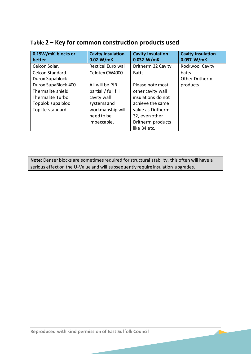| 0.15W/mK blocks or  | <b>Cavity insulation</b> | <b>Cavity insulation</b> | <b>Cavity insulation</b> |
|---------------------|--------------------------|--------------------------|--------------------------|
| better              | 0.02 W/mK                | $0.032$ W/mK             | $0.037$ W/mK             |
| Celcon Solar.       | Recticel Euro wall       | Dritherm 32 Cavity       | Rockwool Cavity          |
| Celcon Standard.    | Celotex CW4000           | <b>Batts</b>             | batts                    |
| Durox Supablock     |                          |                          | Other Dritherm           |
| Durox SupaBlock 400 | All will be PIR          | Please note most         | products                 |
| Thermalite shield   | partial / full fill      | other cavity wall        |                          |
| Thermalite Turbo    | cavity wall              | insulations do not       |                          |
| Topblok supa bloc   | systems and              | achieve the same         |                          |
| Toplite standard    | workmanship will         | value as Dritherm        |                          |
|                     | need to be               | 32, even other           |                          |
|                     | impeccable.              | Dritherm products        |                          |
|                     |                          | like 34 etc.             |                          |

## **Table 2 – Key for common construction products used**

**Note:** Denser blocks are sometimes required for structural stability, this often will have a serious effect on the U-Value and will subsequently require insulation upgrades.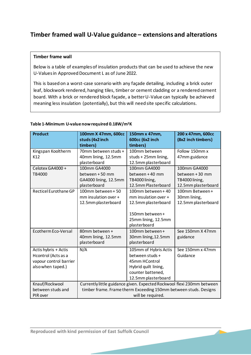### **Timber framed wall U-Value guidance – extensions and alterations**

#### **Timber frame wall**

Below is a table of examples of insulation products that can be used to achieve the new U-Values in Approved Document L as of June 2022.

This is based on a worst-case scenario with any façade detailing, including a brick outer leaf, blockwork rendered, hanging tiles, timber or cement cladding or a rendered cement board. With a brick or rendered block façade, a better U-Value can typically be achieved meaning less insulation (potentially), but this will need site specific calculations.

#### **Table 1-Minimum U-value now required 0.18W/m<sup>2</sup>K**

| <b>Product</b>                                                                             | 100mm X 47mm, 600cc<br>studs (4x2 inch<br>timbers)                                                                                                              | 150mm x 47mm,<br>600cc (6x2 inch<br>timbers)                                                                                  | 200 x 47mm, 600cc<br>(8x2 inch timbers)                                 |
|--------------------------------------------------------------------------------------------|-----------------------------------------------------------------------------------------------------------------------------------------------------------------|-------------------------------------------------------------------------------------------------------------------------------|-------------------------------------------------------------------------|
| Kingspan Kooltherm<br>K12                                                                  | 70mm between studs +<br>40mm lining, 12.5mm<br>plasterboard                                                                                                     | 100mm between<br>studs + 25mm lining,<br>12.5mm plasterboard                                                                  | Follow 150mm x<br>47mm guidance                                         |
| Celotex GA4000+<br>TB4000                                                                  | 100mm GA4000<br>between +50 mm<br>GA4000 lining, 12.5mm<br>plasterboard                                                                                         | 100mm GA4000<br>between +40 mm<br>TB4000 lining,<br>12.5mm Plasterboard                                                       | 100mm GA4000<br>between +30 mm<br>TB4000 lining,<br>12.5mm plasterboard |
| Recticel Eurothane GP                                                                      | 100mm between + 50<br>mm insulation over +<br>12.5mm plasterboard                                                                                               | 100mm between + 40<br>mm insulation over +<br>12.5mm plasterboard<br>150mm between +<br>25mm lining, 12.5mm<br>plasterboard   | 100mm Between+<br>30mm lining,<br>12.5mm plasterboard                   |
| Ecotherm Eco-Versal                                                                        | 80mm between +<br>40mm lining, 12.5mm<br>plasterboard                                                                                                           | 100mm between +<br>30mm lining, 12.5mm<br>plasterboard                                                                        | See 150mm X 47mm<br>guidance                                            |
| Actis hybris + Actis<br>Hcontrol (Acts as a<br>vapour control barrier<br>also when taped.) | N/A                                                                                                                                                             | 105mm of Hybris Actis<br>between studs +<br>45mm HControl<br>Hybrid quilt lining,<br>counter battened,<br>12.5mm plasterboard | See 150mm x 47mm<br>Guidance                                            |
| Knauf/Rockwool<br>between studs and<br>PIR over                                            | Currently little guidance given. Expected Rockwool flexi 230mm between<br>timber frame. Frame therm Exceeding 150mm between studs. Designs<br>will be required. |                                                                                                                               |                                                                         |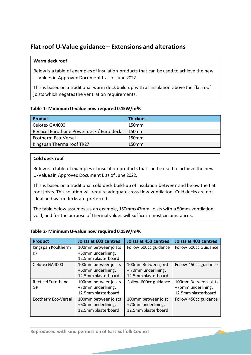## **Flat roof U-Value guidance – Extensions and alterations**

#### **Warm deck roof**

Below is a table of examples of insulation products that can be used to achieve the new U-Values in Approved Document L as of June 2022.

This is based on a traditional warm deck build up with all insulation above the flat roof joists which negates the ventilation requirements.

#### **Table 1- Minimum U-value now required 0.15W/m<sup>2</sup>K**

| Product                                   | <b>Thickness</b> |
|-------------------------------------------|------------------|
| Celotex GA4000                            | 150mm            |
| Recticel Eurothane Power deck / Euro deck | 150mm            |
| Ecotherm Eco-Versal                       | 150mm            |
| Kingspan Therma roof TR27                 | 150mm            |

#### **Cold deck roof**

Below is a table of examples of insulation products that can be used to achieve the new U-Values in Approved Document L as of June 2022.

This is based on a traditional cold deck build-up of insulation between and below the flat roof joists. This solution will require adequate cross flow ventilation. Cold decks are not ideal and warm decks are preferred.

The table below assumes, as an example, 150mmx47mm joists with a 50mm ventilation void, and for the purpose of thermal values will suffice in most circumstances.

#### **Table 2- Minimum U-value now required 0.15W/m<sup>2</sup>K**

| <b>Product</b>            | Joists at 600 centres | Joists at 450 centres | <b>Joists at 400 centres</b> |
|---------------------------|-----------------------|-----------------------|------------------------------|
| Kingspan Kooltherm        | 100mm between joists  | Follow 600cc guidance | Follow 600cc Guidance        |
| K7                        | +50mm underlining,    |                       |                              |
|                           | 12.5mm plasterboard   |                       |                              |
| Celotex GA4000            | 100mm between joists  | 100mm Between joists  | Follow 450cc guidance        |
|                           | +60mm underlining,    | +70mm underlining,    |                              |
|                           | 12.5mm plasterboard   | 12.5mm plasterboard   |                              |
| <b>Recticel Eurothane</b> | 100mm between joists  | Follow 600cc guidance | 100mm Between joists         |
| GP                        | +70mm underlining,    |                       | +75mm underlining,           |
|                           | 12.5mm plasterboard   |                       | 12.5mm plasterboard          |
| Ecotherm Eco-Versal       | 100mm between joists  | 100mm between joist   | Follow 450cc guidance        |
|                           | +60mm underlining,    | +70mm underlining,    |                              |
|                           | 12.5mm plasterboard   | 12.5mm plasterboard   |                              |
|                           |                       |                       |                              |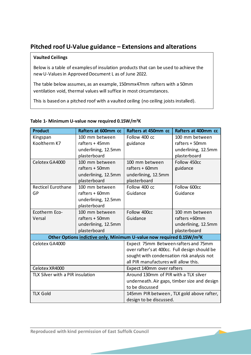## **Pitched roof U-Value guidance – Extensions and alterations**

#### **Vaulted Ceilings**

Below is a table of examples of insulation products that can be used to achieve the new U-Values in Approved Document L as of June 2022.

ventilation void, thermal values will suffice in most circumstances. The table below assumes, as an example, 150mmx47mm rafters with a 50mm

This is based on a pitched roof with a vaulted ceiling (no ceiling joists installed).

| <b>Product</b>                                                                    | Rafters at 600mm cc | Rafters at 450mm cc                           | Rafters at 400mm cc                          |
|-----------------------------------------------------------------------------------|---------------------|-----------------------------------------------|----------------------------------------------|
| Kingspan                                                                          | 100 mm between      | Follow 400 cc                                 | 100 mm between                               |
| Kooltherm K7                                                                      | rafters + 45mm      | guidance                                      | rafters + 50mm                               |
|                                                                                   | underlining, 12.5mm |                                               | underlining, 12.5mm                          |
|                                                                                   | plasterboard        |                                               | plasterboard                                 |
| Celotex GA4000                                                                    | 100 mm between      | 100 mm between                                | Follow 450cc                                 |
|                                                                                   | rafters + 50mm      | rafters + 60mm                                | guidance                                     |
|                                                                                   | underlining, 12.5mm | underlining, 12.5mm                           |                                              |
|                                                                                   | plasterboard        | plasterboard                                  |                                              |
| <b>Recticel Eurothane</b>                                                         | 100 mm between      | Follow 400 cc                                 | Follow 600cc                                 |
| GP                                                                                | rafters + 60mm      | Guidance                                      | Guidance                                     |
|                                                                                   | underlining, 12.5mm |                                               |                                              |
|                                                                                   | plasterboard        |                                               |                                              |
| Ecotherm Eco-                                                                     | 100 mm between      | Follow 400cc                                  | 100 mm between                               |
| Versal                                                                            | rafters + 50mm      | Guidance                                      | rafters +60mm                                |
|                                                                                   | underlining, 12.5mm |                                               | underlining, 12.5mm                          |
|                                                                                   | plasterboard        |                                               | plasterboard                                 |
| Other Options indictive only. Minimum U-value now required 0.15W/m <sup>2</sup> K |                     |                                               |                                              |
| Celotex GA4000                                                                    |                     | Expect 75mm Between rafters and 75mm          |                                              |
|                                                                                   |                     | over rafter's at 400cc. Full design should be |                                              |
|                                                                                   |                     | sought with condensation risk analysis not    |                                              |
|                                                                                   |                     | all PIR manufactures will allow this.         |                                              |
| Celotex XR4000                                                                    |                     | Expect 140mm over rafters                     |                                              |
| TLX Silver with a PIR insulation                                                  |                     | Around 130mm of PIR with a TLX silver         |                                              |
|                                                                                   |                     |                                               | underneath. Air gaps, timber size and design |
|                                                                                   |                     | to be discussed                               |                                              |
| <b>TLX Gold</b>                                                                   |                     |                                               | 145mm PIR between, TLX gold above rafter,    |
|                                                                                   |                     | design to be discussed.                       |                                              |

#### **Table 1- Minimum U-value now required 0.15W/m<sup>2</sup>K**